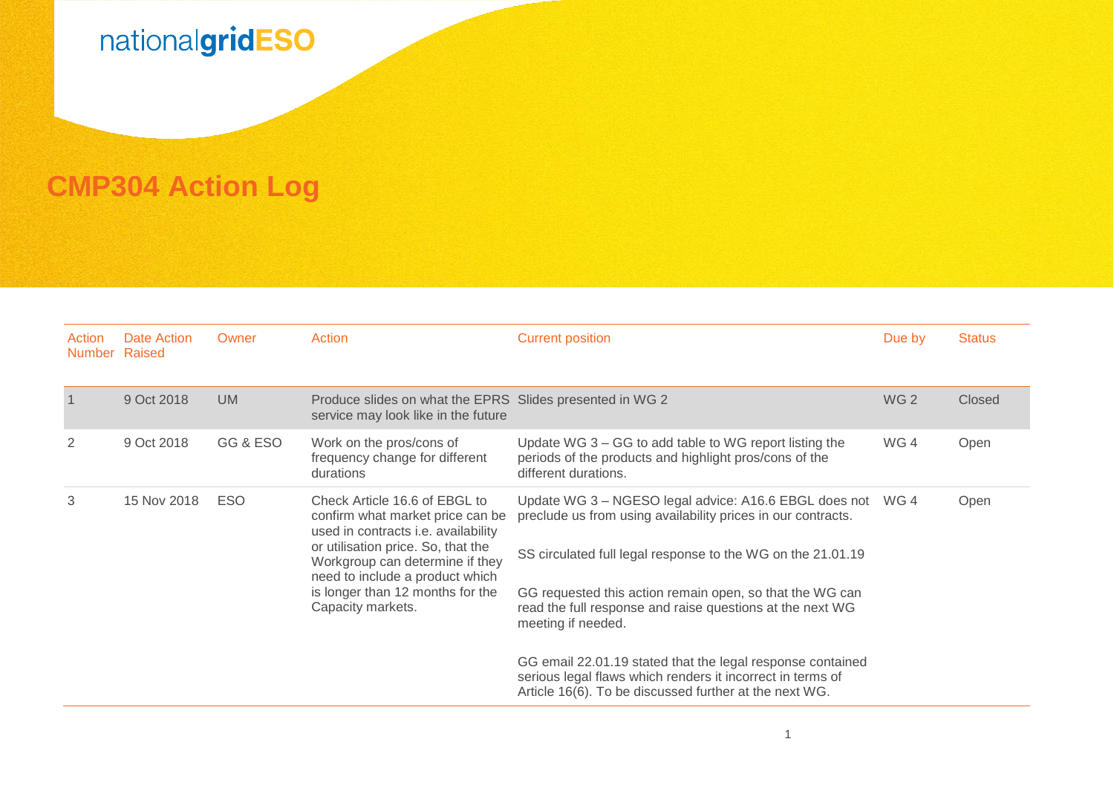## nationalgridESO

**CMP304 Action Log**

| Action<br>Number Raised | Date Action | Owner      | Action                                                                                                                                                                                                                                                                        | <b>Current position</b>                                                                                                                                                                                                                                                                                                                                                                                                                                                                                                        | Due by          | <b>Status</b> |
|-------------------------|-------------|------------|-------------------------------------------------------------------------------------------------------------------------------------------------------------------------------------------------------------------------------------------------------------------------------|--------------------------------------------------------------------------------------------------------------------------------------------------------------------------------------------------------------------------------------------------------------------------------------------------------------------------------------------------------------------------------------------------------------------------------------------------------------------------------------------------------------------------------|-----------------|---------------|
|                         | 9 Oct 2018  | <b>UM</b>  | Produce slides on what the EPRS Slides presented in WG 2<br>service may look like in the future                                                                                                                                                                               |                                                                                                                                                                                                                                                                                                                                                                                                                                                                                                                                | WG <sub>2</sub> | Closed        |
| 2                       | 9 Oct 2018  | GG & ESO   | Work on the pros/cons of<br>frequency change for different<br>durations                                                                                                                                                                                                       | Update WG 3 – GG to add table to WG report listing the<br>periods of the products and highlight pros/cons of the<br>different durations.                                                                                                                                                                                                                                                                                                                                                                                       | WG4             | Open          |
| 3                       | 15 Nov 2018 | <b>ESO</b> | Check Article 16.6 of EBGL to<br>confirm what market price can be<br>used in contracts i.e. availability<br>or utilisation price. So, that the<br>Workgroup can determine if they<br>need to include a product which<br>is longer than 12 months for the<br>Capacity markets. | Update WG 3 - NGESO legal advice: A16.6 EBGL does not WG 4<br>preclude us from using availability prices in our contracts.<br>SS circulated full legal response to the WG on the 21.01.19<br>GG requested this action remain open, so that the WG can<br>read the full response and raise questions at the next WG<br>meeting if needed.<br>GG email 22.01.19 stated that the legal response contained<br>serious legal flaws which renders it incorrect in terms of<br>Article 16(6). To be discussed further at the next WG. |                 | Open          |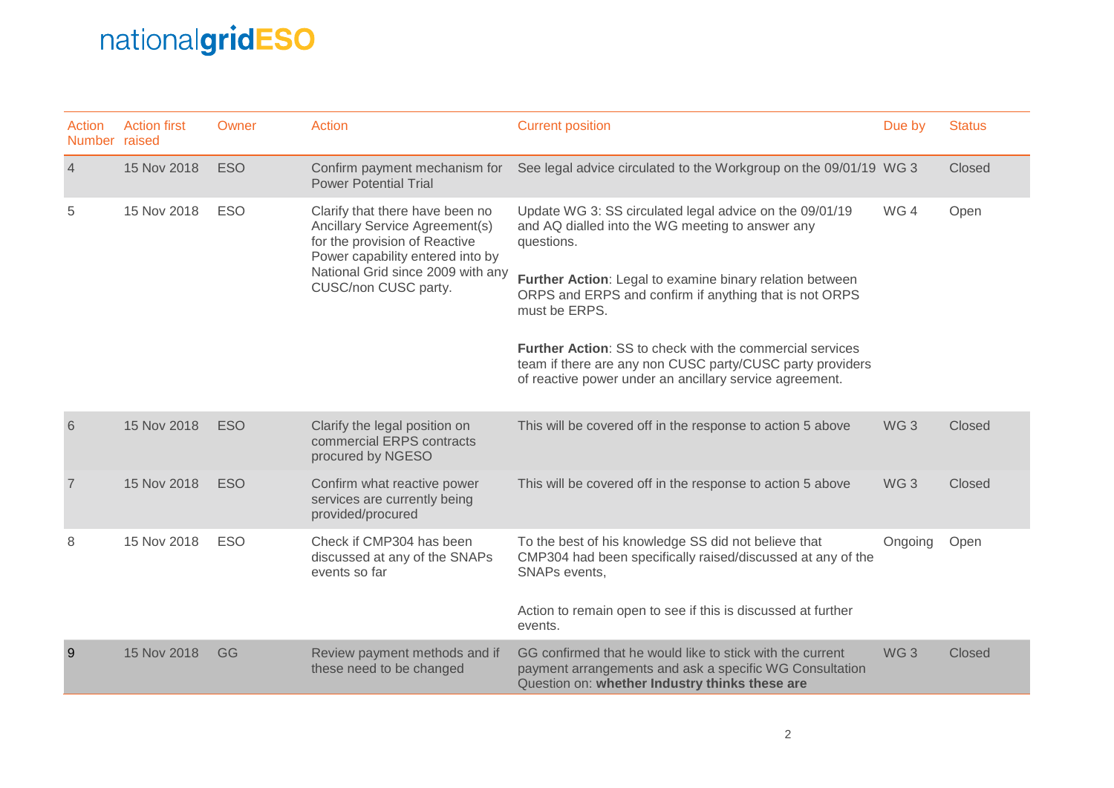## nationalgridESO

| Action<br>Number raised | <b>Action first</b> | Owner      | <b>Action</b>                                                                                                                                                                                       | <b>Current position</b>                                                                                                                                                                                                                                                                                                                                                                                                                                     | Due by          | <b>Status</b> |
|-------------------------|---------------------|------------|-----------------------------------------------------------------------------------------------------------------------------------------------------------------------------------------------------|-------------------------------------------------------------------------------------------------------------------------------------------------------------------------------------------------------------------------------------------------------------------------------------------------------------------------------------------------------------------------------------------------------------------------------------------------------------|-----------------|---------------|
| $\overline{4}$          | 15 Nov 2018         | <b>ESO</b> | Confirm payment mechanism for<br><b>Power Potential Trial</b>                                                                                                                                       | See legal advice circulated to the Workgroup on the 09/01/19 WG 3                                                                                                                                                                                                                                                                                                                                                                                           |                 | Closed        |
| 5                       | 15 Nov 2018         | <b>ESO</b> | Clarify that there have been no<br>Ancillary Service Agreement(s)<br>for the provision of Reactive<br>Power capability entered into by<br>National Grid since 2009 with any<br>CUSC/non CUSC party. | Update WG 3: SS circulated legal advice on the 09/01/19<br>and AQ dialled into the WG meeting to answer any<br>questions.<br>Further Action: Legal to examine binary relation between<br>ORPS and ERPS and confirm if anything that is not ORPS<br>must be ERPS.<br><b>Further Action: SS to check with the commercial services</b><br>team if there are any non CUSC party/CUSC party providers<br>of reactive power under an ancillary service agreement. | WG4             | Open          |
| 6                       | 15 Nov 2018         | <b>ESO</b> | Clarify the legal position on<br>commercial ERPS contracts<br>procured by NGESO                                                                                                                     | This will be covered off in the response to action 5 above                                                                                                                                                                                                                                                                                                                                                                                                  | WG <sub>3</sub> | Closed        |
| $\overline{7}$          | 15 Nov 2018         | <b>ESO</b> | Confirm what reactive power<br>services are currently being<br>provided/procured                                                                                                                    | This will be covered off in the response to action 5 above                                                                                                                                                                                                                                                                                                                                                                                                  | WG <sub>3</sub> | Closed        |
| 8                       | 15 Nov 2018         | <b>ESO</b> | Check if CMP304 has been<br>discussed at any of the SNAPs<br>events so far                                                                                                                          | To the best of his knowledge SS did not believe that<br>CMP304 had been specifically raised/discussed at any of the<br>SNAPs events,<br>Action to remain open to see if this is discussed at further<br>events.                                                                                                                                                                                                                                             | Ongoing         | Open          |
| 9                       | 15 Nov 2018         | GG         | Review payment methods and if<br>these need to be changed                                                                                                                                           | GG confirmed that he would like to stick with the current<br>payment arrangements and ask a specific WG Consultation<br>Question on: whether Industry thinks these are                                                                                                                                                                                                                                                                                      | WG <sub>3</sub> | Closed        |